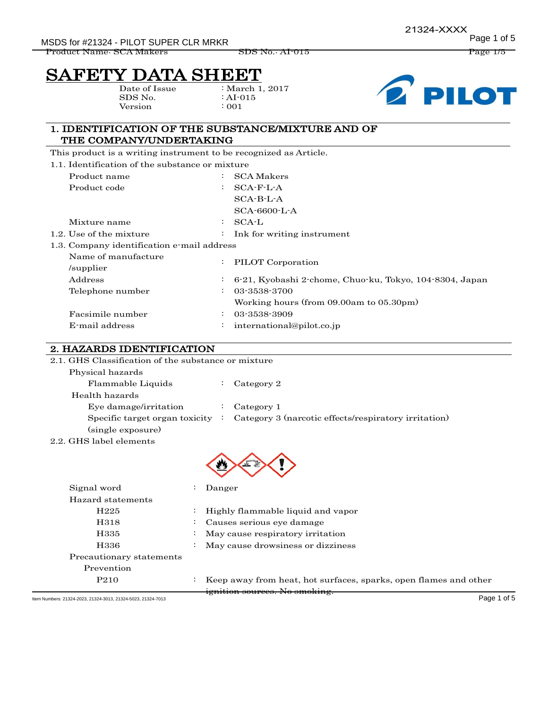# SAFETY DATA SHEET

Date of Issue SDS No. Version

: March 1, 2017 : AI-015 : 001



#### 1. IDENTIFICATION OF THE SUBSTANCE/MIXTURE AND OF THE COMPANY/UNDERTAKING

This product is a writing instrument to be recognized as Article.

| 1.1. Identification of the substance or mixture |  |  |
|-------------------------------------------------|--|--|
|                                                 |  |  |

|                     | Product name                               | $\ddot{\cdot}$ | <b>SCA Makers</b>                                       |  |
|---------------------|--------------------------------------------|----------------|---------------------------------------------------------|--|
|                     | Product code                               | $\ddot{\cdot}$ | $SCA-F-L-A$                                             |  |
|                     |                                            |                | $SCA-B-L-A$                                             |  |
|                     |                                            |                | $SCA-6600-L-A$                                          |  |
|                     | Mixture name                               | ÷              | SCA-L                                                   |  |
|                     | 1.2. Use of the mixture                    | $\ddot{\cdot}$ | Ink for writing instrument                              |  |
|                     | 1.3. Company identification e-mail address |                |                                                         |  |
| Name of manufacture |                                            | $\ddot{\cdot}$ | PILOT Corporation                                       |  |
|                     | /supplier                                  |                |                                                         |  |
|                     | Address                                    | ÷              | 6-21, Kyobashi 2-chome, Chuo-ku, Tokyo, 104-8304, Japan |  |
|                     | Telephone number                           | $\bullet$      | 03-3538-3700                                            |  |
|                     |                                            |                | Working hours (from 09.00am to 05.30pm)                 |  |
|                     | Facsimile number                           | $\ddot{\cdot}$ | 03-3538-3909                                            |  |
|                     | E-mail address                             | $\bullet$      | international@pilot.co.jp                               |  |
|                     |                                            |                |                                                         |  |

#### 2. HAZARDS IDENTIFICATION

| 2.1. GHS Classification of the substance or mixture |  |                                                      |  |  |  |
|-----------------------------------------------------|--|------------------------------------------------------|--|--|--|
| Physical hazards                                    |  |                                                      |  |  |  |
| Flammable Liquids                                   |  | Category 2                                           |  |  |  |
| Health hazards                                      |  |                                                      |  |  |  |
| Eye damage/irritation                               |  | Category 1                                           |  |  |  |
| Specific target organ toxicity                      |  | Category 3 (narcotic effects/respiratory irritation) |  |  |  |
| (single exposure)                                   |  |                                                      |  |  |  |
| 2.2. GHS label elements                             |  |                                                      |  |  |  |



| Signal word              | Danger                                                           |
|--------------------------|------------------------------------------------------------------|
| Hazard statements        |                                                                  |
| H <sub>225</sub>         | Highly flammable liquid and vapor                                |
| H318                     | Causes serious eye damage                                        |
| H335                     | May cause respiratory irritation                                 |
| H336                     | May cause drowsiness or dizziness                                |
| Precautionary statements |                                                                  |
| Prevention               |                                                                  |
| P <sub>2</sub> 10        | Keep away from heat, hot surfaces, sparks, open flames and other |
|                          | <del>ignition sources. No smoking.</del>                         |

Item Numbers: 21324-2023, 21324-3013, 21324-5023, 21324-7013 Page 1 of 5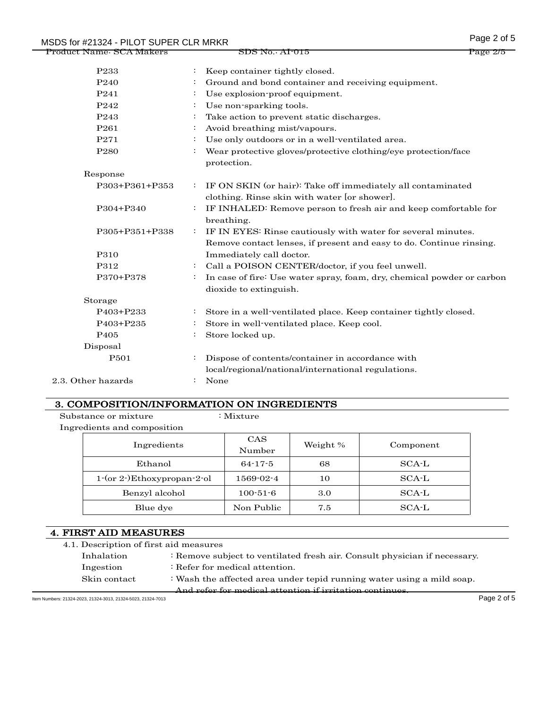| MSDS for #21324 - PILOT SUPER CLR MRKR |                |                                                                                                                                     | Page 2 of 5 |
|----------------------------------------|----------------|-------------------------------------------------------------------------------------------------------------------------------------|-------------|
| <u> Product Name: SCA Makers</u>       |                | <del>SDS No. Al-015</del>                                                                                                           | Page 2/5    |
| P <sub>233</sub>                       |                | Keep container tightly closed.                                                                                                      |             |
| P <sub>240</sub>                       |                | Ground and bond container and receiving equipment.                                                                                  |             |
| P <sub>241</sub>                       | ÷              | Use explosion-proof equipment.                                                                                                      |             |
| P <sub>242</sub>                       | ÷              | Use non-sparking tools.                                                                                                             |             |
| P <sub>243</sub>                       | ÷              | Take action to prevent static discharges.                                                                                           |             |
| P <sub>261</sub>                       | $\ddot{\cdot}$ | Avoid breathing mist/vapours.                                                                                                       |             |
| P271                                   | $\ddot{\cdot}$ | Use only outdoors or in a well-ventilated area.                                                                                     |             |
| P <sub>280</sub>                       | $\ddot{\cdot}$ | Wear protective gloves/protective clothing/eye protection/face<br>protection.                                                       |             |
| Response                               |                |                                                                                                                                     |             |
| P303+P361+P353                         | $\ddot{\cdot}$ | IF ON SKIN (or hair): Take off immediately all contaminated<br>clothing. Rinse skin with water [or shower].                         |             |
| P304+P340                              | ÷              | IF INHALED: Remove person to fresh air and keep comfortable for<br>breathing.                                                       |             |
| P305+P351+P338                         | ÷              | IF IN EYES: Rinse cautiously with water for several minutes.<br>Remove contact lenses, if present and easy to do. Continue rinsing. |             |
| P310                                   |                | Immediately call doctor.                                                                                                            |             |
| P312                                   | ÷              | Call a POISON CENTER/doctor, if you feel unwell.                                                                                    |             |
| P370+P378                              | $\ddot{\cdot}$ | In case of fire: Use water spray, foam, dry, chemical powder or carbon<br>dioxide to extinguish.                                    |             |
| Storage                                |                |                                                                                                                                     |             |
| P403+P233                              | ÷              | Store in a well-ventilated place. Keep container tightly closed.                                                                    |             |
| P403+P235                              | ÷              | Store in well-ventilated place. Keep cool.                                                                                          |             |
| P <sub>405</sub>                       |                | Store locked up.                                                                                                                    |             |
| Disposal                               |                |                                                                                                                                     |             |
| P501                                   | $\ddot{\cdot}$ | Dispose of contents/container in accordance with<br>local/regional/national/international regulations.                              |             |
| 2.3. Other hazards                     | $\ddot{\cdot}$ | None                                                                                                                                |             |

#### 3. COMPOSITION/INFORMATION ON INGREDIENTS

Substance or mixture : Mixture : Mixture Ingredients and composition

| Ingredients                  | <b>CAS</b><br>Number | Weight % | Component |
|------------------------------|----------------------|----------|-----------|
| Ethanol                      | $64 - 17 - 5$        | 68       | SCA-L     |
| $1-(or 2-)Ethoxypropan-2-ol$ | 1569-02-4            | 10       | $SCA-L$   |
| Benzyl alcohol               | $100 - 51 - 6$       | 3.0      | SCA-L     |
| Blue dye                     | Non Public           | 7.5      | SCA-L     |

# 4. FIRST AID MEASURES

| 4.1. Description of first aid measures |
|----------------------------------------|
|----------------------------------------|

Inhalation : Remove subject to ventilated fresh air. Consult physician if necessary. Ingestion : Refer for medical attention. Skin contact : Wash the affected area under tepid running water using a mild soap.

And refer for medical attention if irritation continues.

Item Numbers: 21324-2023, 21324-3013, 21324-5023, 21324-7013 Page 2 of 5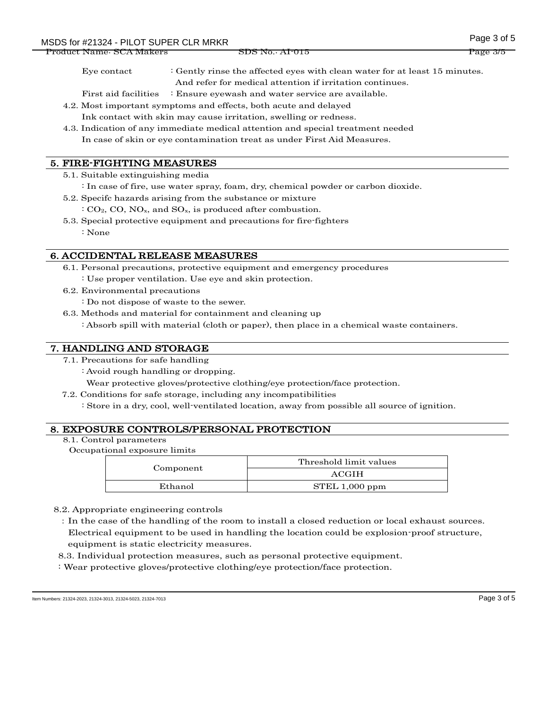Product Name: SCA Makers SDS No.: AI-015 Page 3/5

Eye contact : Gently rinse the affected eyes with clean water for at least 15 minutes. And refer for medical attention if irritation continues.

First aid facilities : Ensure eyewash and water service are available.

- 4.2. Most important symptoms and effects, both acute and delayed Ink contact with skin may cause irritation, swelling or redness.
- 4.3. Indication of any immediate medical attention and special treatment needed In case of skin or eye contamination treat as under First Aid Measures.

## 5. FIRE-FIGHTING MEASURES

- 5.1. Suitable extinguishing media
	- : In case of fire, use water spray, foam, dry, chemical powder or carbon dioxide.
- 5.2. Specifc hazards arising from the substance or mixture
	- $: CO<sub>2</sub>, CO, NO<sub>x</sub>, and SO<sub>x</sub>, is produced after combustion.$
- 5.3. Special protective equipment and precautions for fire-fighters : None

## 6. ACCIDENTAL RELEASE MEASURES

- 6.1. Personal precautions, protective equipment and emergency procedures
	- : Use proper ventilation. Use eye and skin protection.
- 6.2. Environmental precautions
	- : Do not dispose of waste to the sewer.
- 6.3. Methods and material for containment and cleaning up
	- : Absorb spill with material (cloth or paper), then place in a chemical waste containers.

#### 7. HANDLING AND STORAGE

- 7.1. Precautions for safe handling
	- : Avoid rough handling or dropping.
	- Wear protective gloves/protective clothing/eye protection/face protection.
- 7.2. Conditions for safe storage, including any incompatibilities
	- : Store in a dry, cool, well-ventilated location, away from possible all source of ignition.

#### 8. EXPOSURE CONTROLS/PERSONAL PROTECTION

8.1. Control parameters

Occupational exposure limits

|           | Threshold limit values |  |
|-----------|------------------------|--|
| Component | ACGIH                  |  |
| Ethanol   | STEL 1,000 ppm         |  |

8.2. Appropriate engineering controls

:In the case of the handling of the room to install a closed reduction or local exhaust sources. Electrical equipment to be used in handling the location could be explosion-proof structure, equipment is static electricity measures.

8.3. Individual protection measures, such as personal protective equipment.

: Wear protective gloves/protective clothing/eye protection/face protection.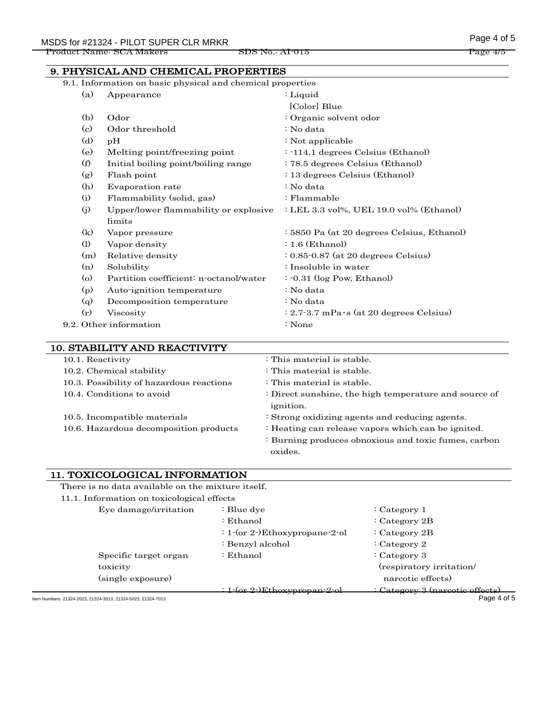|                                          | 9. PHYSICAL AND CHEMICAL PROPERTIES                        |                                                       |  |
|------------------------------------------|------------------------------------------------------------|-------------------------------------------------------|--|
|                                          | 9.1. Information on basic physical and chemical properties |                                                       |  |
| (a)                                      | Appearance                                                 | : Liquid                                              |  |
|                                          |                                                            | [Color] Blue                                          |  |
| (b)                                      | Odor                                                       | : Organic solvent odor                                |  |
| $\rm(c)$                                 | Odor threshold                                             | : No data                                             |  |
| (d)                                      | pH                                                         | : Not applicable                                      |  |
| (e)                                      | Melting point/freezing point                               | $: -114.1$ degrees Celsius (Ethanol)                  |  |
| (f)                                      | Initial boiling point/boiling range                        | : 78.5 degrees Celsius (Ethanol)                      |  |
| (g)                                      | Flash point                                                | : 13 degrees Celsius (Ethanol)                        |  |
| (h)                                      | Evaporation rate                                           | : No data                                             |  |
| (i)                                      | Flammability (solid, gas)                                  | $:$ Flammable                                         |  |
| (j)                                      | Upper/lower flammability or explosive                      | : LEL 3.3 vol%, UEL 19.0 vol% (Ethanol)               |  |
|                                          | limits                                                     |                                                       |  |
| (k)                                      | Vapor pressure                                             | : 5850 Pa (at 20 degrees Celsius, Ethanol)            |  |
| $\Omega$                                 | Vapor density                                              | $: 1.6$ (Ethanol)                                     |  |
| (m)                                      | Relative density                                           | $: 0.85 \cdot 0.87$ (at 20 degrees Celsius)           |  |
| (n)                                      | Solubility                                                 | : Insoluble in water                                  |  |
| $\circ$                                  | Partition coefficient: n-octanol/water                     | $: -0.31$ (log Pow, Ethanol)                          |  |
| (p)                                      | Auto-ignition temperature                                  | : No data                                             |  |
| (q)                                      | Decomposition temperature                                  | : No data                                             |  |
| (r)                                      | Viscosity                                                  | $: 2.7 - 3.7$ mPa $\cdot$ s (at 20 degrees Celsius)   |  |
|                                          | 9.2. Other information                                     | : None                                                |  |
|                                          |                                                            |                                                       |  |
|                                          | 10. STABILITY AND REACTIVITY                               |                                                       |  |
| 10.1. Reactivity                         |                                                            | : This material is stable.                            |  |
|                                          | 10.2. Chemical stability                                   | : This material is stable.                            |  |
| 10.3. Possibility of hazardous reactions |                                                            | : This material is stable.                            |  |
|                                          | 10.4. Conditions to avoid                                  | : Direct sunshine, the high temperature and source of |  |

| Direct banbinité, the man temperature and boarde or  |
|------------------------------------------------------|
| <i>ignition.</i>                                     |
| : Strong oxidizing agents and reducing agents.       |
| : Heating can release vapors which can be ignited.   |
| : Burning produces obnoxious and toxic fumes, carbon |
|                                                      |

oxides.

# 11. TOXICOLOGICAL INFORMATION

There is no data available on the mixture itself.

| 11.1. Information on toxicological effects          |                                   |                               |
|-----------------------------------------------------|-----------------------------------|-------------------------------|
| Eye damage/irritation                               | : Blue dye                        | : Category $1$                |
|                                                     | :Ethanol                          | : Category $2B$               |
|                                                     | $: 1-(or 2-)Ethoxypropane-2-ol$   | : Category $2B$               |
|                                                     | : Benzyl alcohol                  | : Category 2                  |
| Specific target organ                               | :Ethanol                          | : Category 3                  |
| toxicity                                            |                                   | (respiratory irritation/      |
| (single exposure)                                   |                                   | narcotic effects)             |
|                                                     | <u>1-(or 2-)Ethoxypropan-2-ol</u> | Category 3 (narcotic effects) |
| ers: 21324-2023, 21324-3013, 21324-5023, 21324-7013 |                                   | Page 4 of 5                   |

Item Numbers: 21324-2023, 21324-3013, 21324-5023, 21324-7013